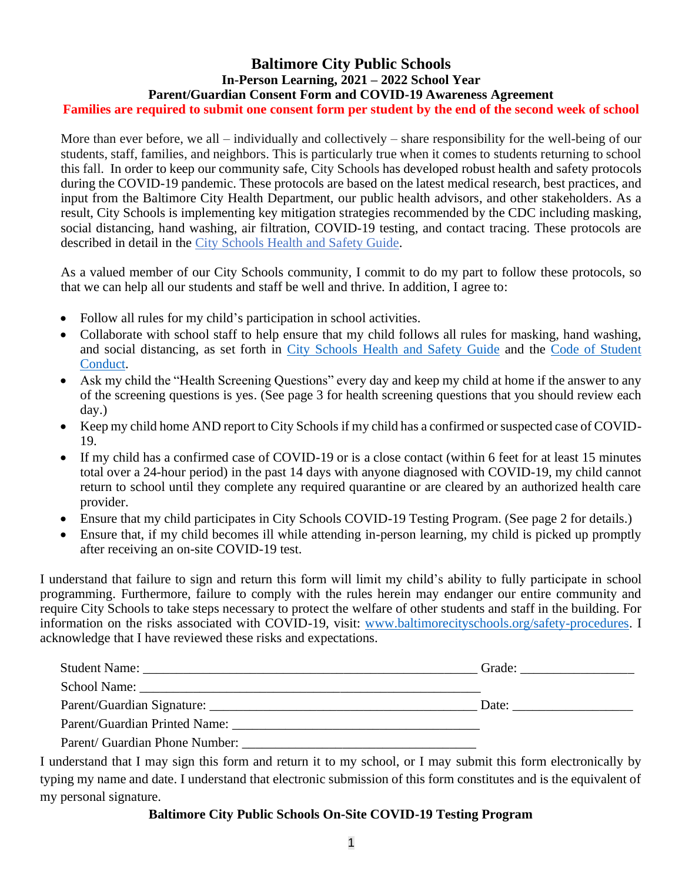# **Baltimore City Public Schools In-Person Learning, 2021 – 2022 School Year Parent/Guardian Consent Form and COVID-19 Awareness Agreement Families are required to submit one consent form per student by the end of the second week of school**

More than ever before, we all – individually and collectively – share responsibility for the well-being of our students, staff, families, and neighbors. This is particularly true when it comes to students returning to school this fall. In order to keep our community safe, City Schools has developed robust health and safety protocols during the COVID-19 pandemic. These protocols are based on the latest medical research, best practices, and input from the Baltimore City Health Department, our public health advisors, and other stakeholders. As a result, City Schools is implementing key mitigation strategies recommended by the CDC including masking, social distancing, hand washing, air filtration, COVID-19 testing, and contact tracing. These protocols are described in detail in the [City Schools Health and Safety Guide.](https://www.baltimorecityschools.org/safety-procedures)

As a valued member of our City Schools community, I commit to do my part to follow these protocols, so that we can help all our students and staff be well and thrive. In addition, I agree to:

- Follow all rules for my child's participation in school activities.
- Collaborate with school staff to help ensure that my child follows all rules for masking, hand washing, and social distancing, as set forth in [City Schools Health and Safety Guide](https://www.baltimorecityschools.org/safety-procedures) and the [Code of Student](https://www.baltimorecityschools.org/code-conduct)  [Conduct.](https://www.baltimorecityschools.org/code-conduct)
- Ask my child the "Health Screening Questions" every day and keep my child at home if the answer to any of the screening questions is yes. (See page 3 for health screening questions that you should review each day.)
- Keep my child home AND report to City Schools if my child has a confirmed or suspected case of COVID-19.
- If my child has a confirmed case of COVID-19 or is a close contact (within 6 feet for at least 15 minutes total over a 24-hour period) in the past 14 days with anyone diagnosed with COVID-19, my child cannot return to school until they complete any required quarantine or are cleared by an authorized health care provider.
- Ensure that my child participates in City Schools COVID-19 Testing Program. (See page 2 for details.)
- Ensure that, if my child becomes ill while attending in-person learning, my child is picked up promptly after receiving an on-site COVID-19 test.

I understand that failure to sign and return this form will limit my child's ability to fully participate in school programming. Furthermore, failure to comply with the rules herein may endanger our entire community and require City Schools to take steps necessary to protect the welfare of other students and staff in the building. For information on the risks associated with COVID-19, visit: [www.baltimorecityschools.org/safety-procedures.](https://www.baltimorecityschools.org/safety-procedures) I acknowledge that I have reviewed these risks and expectations.

| <b>Student Name:</b>           | Grade:<br><u> 1989 - Johann John Stone, market fan it ferstjer fan it ferstjer fan it ferstjer fan it ferstjer fan it ferst</u> |
|--------------------------------|---------------------------------------------------------------------------------------------------------------------------------|
|                                |                                                                                                                                 |
|                                | Date:                                                                                                                           |
| Parent/Guardian Printed Name:  |                                                                                                                                 |
| Parent/ Guardian Phone Number: |                                                                                                                                 |

I understand that I may sign this form and return it to my school, or I may submit this form electronically by typing my name and date. I understand that electronic submission of this form constitutes and is the equivalent of my personal signature.

#### **Baltimore City Public Schools On-Site COVID-19 Testing Program**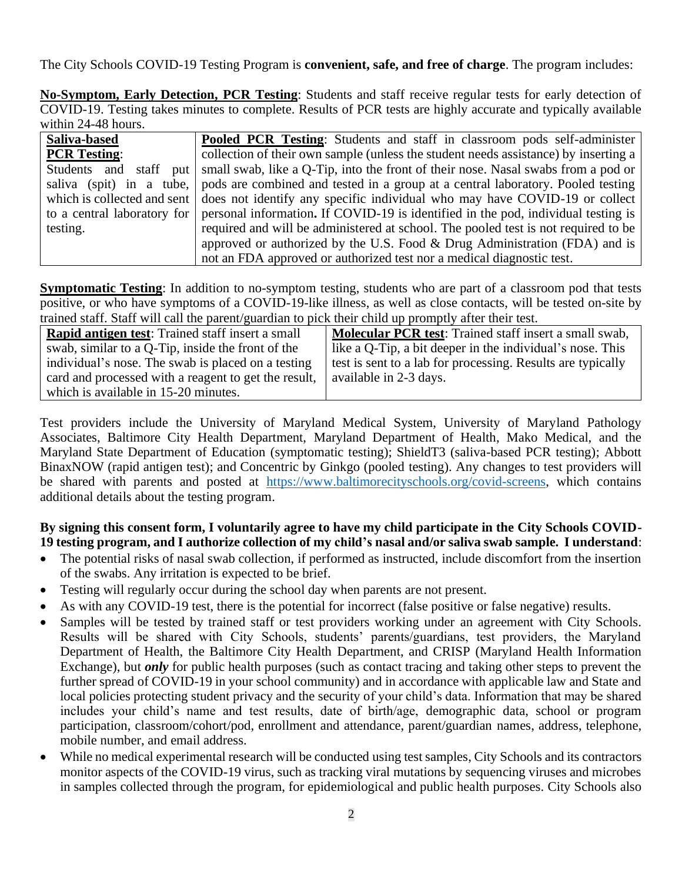The City Schools COVID-19 Testing Program is **convenient, safe, and free of charge**. The program includes:

**No-Symptom, Early Detection, PCR Testing**: Students and staff receive regular tests for early detection of COVID-19. Testing takes minutes to complete. Results of PCR tests are highly accurate and typically available within 24-48 hours.

| Saliva-based        | <b>Pooled PCR Testing:</b> Students and staff in classroom pods self-administer                               |
|---------------------|---------------------------------------------------------------------------------------------------------------|
| <b>PCR Testing:</b> | collection of their own sample (unless the student needs assistance) by inserting a                           |
|                     | Students and staff put   small swab, like a Q-Tip, into the front of their nose. Nasal swabs from a pod or    |
|                     | saliva (spit) in a tube, pods are combined and tested in a group at a central laboratory. Pooled testing      |
|                     | which is collected and sent   does not identify any specific individual who may have COVID-19 or collect      |
|                     | to a central laboratory for personal information. If COVID-19 is identified in the pod, individual testing is |
| testing.            | required and will be administered at school. The pooled test is not required to be                            |
|                     | approved or authorized by the U.S. Food & Drug Administration (FDA) and is                                    |
|                     | not an FDA approved or authorized test nor a medical diagnostic test.                                         |

**Symptomatic Testing**: In addition to no-symptom testing, students who are part of a classroom pod that tests positive, or who have symptoms of a COVID-19-like illness, as well as close contacts, will be tested on-site by trained staff. Staff will call the parent/guardian to pick their child up promptly after their test.

| <b>Rapid antigen test:</b> Trained staff insert a small | <b>Molecular PCR test:</b> Trained staff insert a small swab, |
|---------------------------------------------------------|---------------------------------------------------------------|
| swab, similar to a Q-Tip, inside the front of the       | like a Q-Tip, a bit deeper in the individual's nose. This     |
| individual's nose. The swab is placed on a testing      | test is sent to a lab for processing. Results are typically   |
| card and processed with a reagent to get the result,    | available in 2-3 days.                                        |
| which is available in 15-20 minutes.                    |                                                               |

Test providers include the University of Maryland Medical System, University of Maryland Pathology Associates, Baltimore City Health Department, Maryland Department of Health, Mako Medical, and the Maryland State Department of Education (symptomatic testing); ShieldT3 (saliva-based PCR testing); Abbott BinaxNOW (rapid antigen test); and Concentric by Ginkgo (pooled testing). Any changes to test providers will be shared with parents and posted at [https://www.baltimorecityschools.org/covid-screens,](https://www.baltimorecityschools.org/covid-screens) which contains additional details about the testing program.

## **By signing this consent form, I voluntarily agree to have my child participate in the City Schools COVID-19 testing program, and I authorize collection of my child's nasal and/or saliva swab sample. I understand**:

- The potential risks of nasal swab collection, if performed as instructed, include discomfort from the insertion of the swabs. Any irritation is expected to be brief.
- Testing will regularly occur during the school day when parents are not present.
- As with any COVID-19 test, there is the potential for incorrect (false positive or false negative) results.
- Samples will be tested by trained staff or test providers working under an agreement with City Schools. Results will be shared with City Schools, students' parents/guardians, test providers, the Maryland Department of Health, the Baltimore City Health Department, and CRISP (Maryland Health Information Exchange), but *only* for public health purposes (such as contact tracing and taking other steps to prevent the further spread of COVID-19 in your school community) and in accordance with applicable law and State and local policies protecting student privacy and the security of your child's data. Information that may be shared includes your child's name and test results, date of birth/age, demographic data, school or program participation, classroom/cohort/pod, enrollment and attendance, parent/guardian names, address, telephone, mobile number, and email address.
- While no medical experimental research will be conducted using test samples, City Schools and its contractors monitor aspects of the COVID-19 virus, such as tracking viral mutations by sequencing viruses and microbes in samples collected through the program, for epidemiological and public health purposes. City Schools also